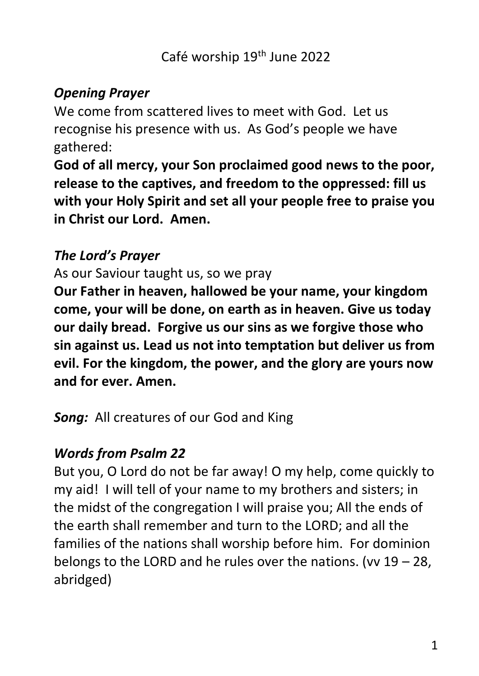## *Opening Prayer*

We come from scattered lives to meet with God. Let us recognise his presence with us. As God's people we have gathered:

**God of all mercy, your Son proclaimed good news to the poor, release to the captives, and freedom to the oppressed: fill us with your Holy Spirit and set all your people free to praise you in Christ our Lord. Amen.**

## *The Lord's Prayer*

As our Saviour taught us, so we pray

**Our Father in heaven, hallowed be your name, your kingdom come, your will be done, on earth as in heaven. Give us today our daily bread. Forgive us our sins as we forgive those who sin against us. Lead us not into temptation but deliver us from evil. For the kingdom, the power, and the glory are yours now and for ever. Amen.**

**Song:** All creatures of our God and King

# *Words from Psalm 22*

But you, O Lord do not be far away! O my help, come quickly to my aid! I will tell of your name to my brothers and sisters; in the midst of the congregation I will praise you; All the ends of the earth shall remember and turn to the LORD; and all the families of the nations shall worship before him. For dominion belongs to the LORD and he rules over the nations. (vv  $19 - 28$ , abridged)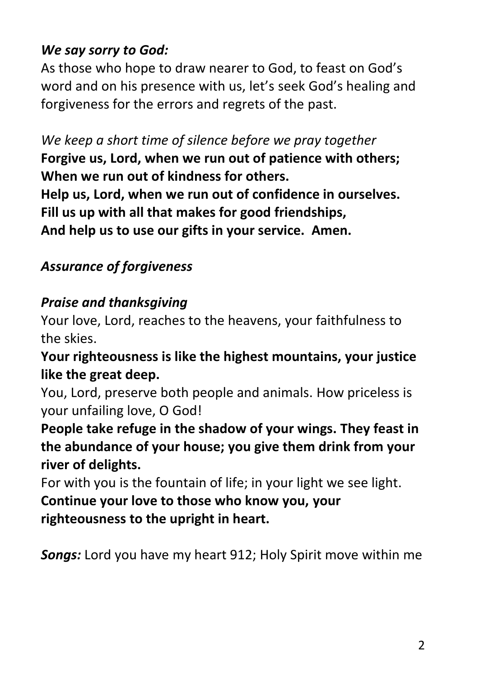# *We say sorry to God:*

As those who hope to draw nearer to God, to feast on God's word and on his presence with us, let's seek God's healing and forgiveness for the errors and regrets of the past.

*We keep a short time of silence before we pray together* **Forgive us, Lord, when we run out of patience with others; When we run out of kindness for others. Help us, Lord, when we run out of confidence in ourselves. Fill us up with all that makes for good friendships, And help us to use our gifts in your service. Amen.**

# *Assurance of forgiveness*

# *Praise and thanksgiving*

Your love, Lord, reaches to the heavens, your faithfulness to the skies.

**Your righteousness is like the highest mountains, your justice like the great deep.**

You, Lord, preserve both people and animals. How priceless is your unfailing love, O God!

**People take refuge in the shadow of your wings. They feast in the abundance of your house; you give them drink from your river of delights.**

For with you is the fountain of life; in your light we see light. **Continue your love to those who know you, your righteousness to the upright in heart.**

*Songs:* Lord you have my heart 912; Holy Spirit move within me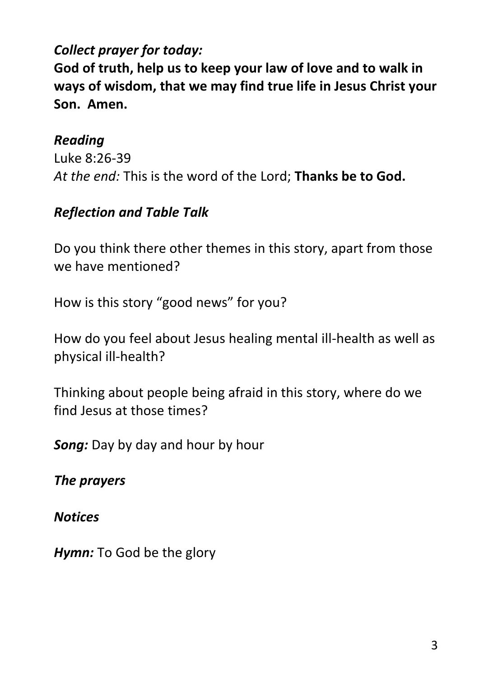# *Collect prayer for today:*

**God of truth, help us to keep your law of love and to walk in ways of wisdom, that we may find true life in Jesus Christ your Son. Amen.**

#### *Reading*

Luke 8:26-39 *At the end:* This is the word of the Lord; **Thanks be to God.**

## *Reflection and Table Talk*

Do you think there other themes in this story, apart from those we have mentioned?

How is this story "good news" for you?

How do you feel about Jesus healing mental ill-health as well as physical ill-health?

Thinking about people being afraid in this story, where do we find Jesus at those times?

*Song:* Day by day and hour by hour

*The prayers* 

*Notices*

*Hymn:* To God be the glory